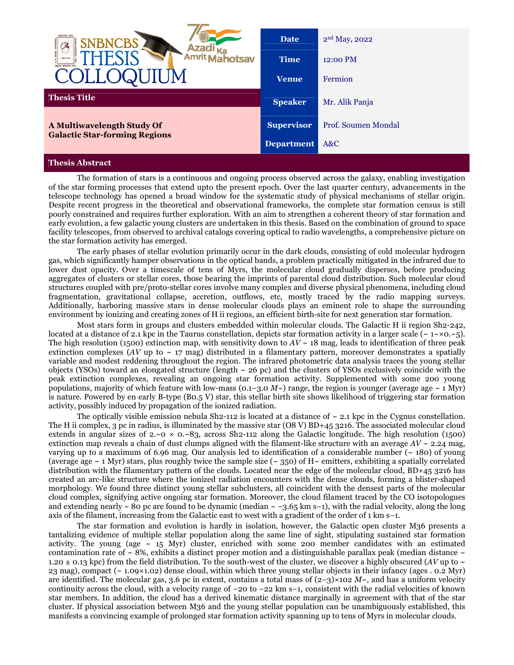| <b>CENTRE FOR</b><br><b>BNCBS</b>                                  | <b>Date</b>       | 2 <sup>nd</sup> May, 2022 |
|--------------------------------------------------------------------|-------------------|---------------------------|
| Amrity<br><b>iotsav</b><br>क्रिक्टनेन परिप्राचरित क्षेत्र          | <b>Time</b>       | 12:00 PM                  |
|                                                                    | <b>Venue</b>      | Fermion                   |
| <b>Thesis Title</b>                                                | <b>Speaker</b>    | Mr. Alik Panja            |
| A Multiwavelength Study Of<br><b>Galactic Star-forming Regions</b> | <b>Supervisor</b> | Prof. Soumen Mondal       |
|                                                                    | <b>Department</b> | A&C                       |
| --                                                                 |                   |                           |

## **Thesis Abstract**

 The formation of stars is a continuous and ongoing process observed across the galaxy, enabling investigation of the star forming processes that extend upto the present epoch. Over the last quarter century, advancements in the telescope technology has opened a broad window for the systematic study of physical mechanisms of stellar origin. Despite recent progress in the theoretical and observational frameworks, the complete star formation census is still poorly constrained and requires further exploration. With an aim to strengthen a coherent theory of star formation and early evolution, a few galactic young clusters are undertaken in this thesis. Based on the combination of ground to space facility telescopes, from observed to archival catalogs covering optical to radio wavelengths, a comprehensive picture on the star formation activity has emerged.

 The early phases of stellar evolution primarily occur in the dark clouds, consisting of cold molecular hydrogen gas, which significantly hamper observations in the optical bands, a problem practically mitigated in the infrared due to lower dust opacity. Over a timescale of tens of Myrs, the molecular cloud gradually disperses, before producing aggregates of clusters or stellar cores, those bearing the imprints of parental cloud distribution. Such molecular cloud structures coupled with pre/proto-stellar cores involve many complex and diverse physical phenomena, including cloud fragmentation, gravitational collapse, accretion, outflows, etc, mostly traced by the radio mapping surveys. Additionally, harboring massive stars in dense molecular clouds plays an eminent role to shape the surrounding environment by ionizing and creating zones of H ii regions, an efficient birth-site for next generation star formation.

Most stars form in groups and clusters embedded within molecular clouds. The Galactic H ii region Sh2-242, located at a distance of 2.1 kpc in the Taurus constellation, depicts star formation activity in a larger scale (~ 1~×0*.*~5). The high resolution (1500) extinction map, with sensitivity down to  $AV \sim 18$  mag, leads to identification of three peak extinction complexes ( $AV$  up to  $\sim$  17 mag) distributed in a filamentary pattern, moreover demonstrates a spatially variable and modest reddening throughout the region. The infrared photometric data analysis traces the young stellar objects (YSOs) toward an elongated structure (length  $\sim$  26 pc) and the clusters of YSOs exclusively coincide with the peak extinction complexes, revealing an ongoing star formation activity. Supplemented with some 200 young populations, majority of which feature with low-mass ( $0.1-3.0$  *M* $\sim$ ) range, the region is younger (average age  $\sim 1$  Myr) is nature. Powered by en early B-type (B0.5 V) star, this stellar birth site shows likelihood of triggering star formation activity, possibly induced by propagation of the ionized radiation.

The optically visible emission nebula Sh2-112 is located at a distance of  $\sim$  2.1 kpc in the Cygnus constellation. The H ii complex, 3 pc in radius, is illuminated by the massive star (O8 V) BD+45 3216. The associated molecular cloud extends in angular sizes of  $2.~0 \times 0.~83$ , across Sh2-112 along the Galactic longitude. The high resolution (1500) extinction map reveals a chain of dust clumps aligned with the filament-like structure with an average  $AV \sim 2.24$  mag, varying up to a maximum of 6.96 mag. Our analysis led to identification of a considerable number  $($   $\sim$  180 $)$  of young (average age ~ 1 Myr) stars, plus roughly twice the sample size (~ 350) of H*~* emitters, exhibiting a spatially correlated distribution with the filamentary pattern of the clouds. Located near the edge of the molecular cloud, BD+45 3216 has created an arc-like structure where the ionized radiation encounters with the dense clouds, forming a blister-shaped morphology. We found three distinct young stellar subclusters, all coincident with the densest parts of the molecular cloud complex, signifying active ongoing star formation. Moreover, the cloud filament traced by the CO isotopologues and extending nearly ~ 80 pc are found to be dynamic (median ~ −3*.*65 km s−1), with the radial velocity, along the long axis of the filament, increasing from the Galactic east to west with a gradient of the order of 1 km s−1.

 The star formation and evolution is hardly in isolation, however, the Galactic open cluster M36 presents a tantalizing evidence of multiple stellar population along the same line of sight, stipulating sustained star formation activity. The young (age  $\sim$  15 Myr) cluster, enriched with some 200 member candidates with an estimated contamination rate of  $\sim$  8%, exhibits a distinct proper motion and a distinguishable parallax peak (median distance  $\sim$ 1.20  $\pm$  0.13 kpc) from the field distribution. To the south-west of the cluster, we discover a highly obscured (*AV* up to  $\sim$ 23 mag), compact (~ 1*.*09×1*.*02) dense cloud, within which three young stellar objects in their infancy (ages . 0*.*2 Myr) are identified. The molecular gas, 3.6 pc in extent, contains a total mass of  $(2-3)\times102 M<sub>\sim</sub>$ , and has a uniform velocity continuity across the cloud, with a velocity range of −20 to −22 km s−1, consistent with the radial velocities of known star members. In addition, the cloud has a derived kinematic distance marginally in agreement with that of the star cluster. If physical association between M36 and the young stellar population can be unambiguously established, this manifests a convincing example of prolonged star formation activity spanning up to tens of Myrs in molecular clouds.